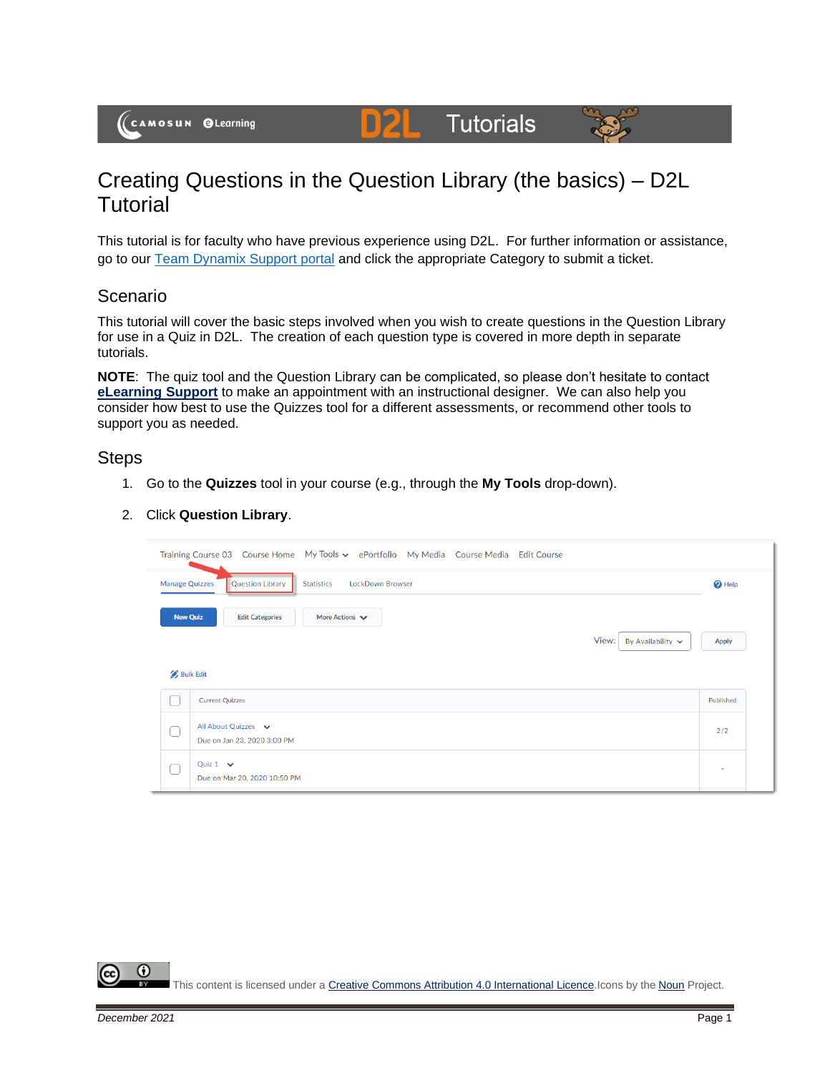(CAMOSUN @Learning

# Creating Questions in the Question Library (the basics) – D2L **Tutorial**

DZ

This tutorial is for faculty who have previous experience using D2L. For further information or assistance, go to our **Team Dynamix Support portal** and click the appropriate Category to submit a ticket.

**Tutorials** 

### Scenario

This tutorial will cover the basic steps involved when you wish to create questions in the Question Library for use in a Quiz in D2L. The creation of each question type is covered in more depth in separate tutorials.

**NOTE**: The quiz tool and the Question Library can be complicated, so please don't hesitate to contact **[eLearning Support](mailto:elearning@camosun.ca)** to make an appointment with an instructional designer. We can also help you consider how best to use the Quizzes tool for a different assessments, or recommend other tools to support you as needed.

#### **Steps**

- 1. Go to the **Quizzes** tool in your course (e.g., through the **My Tools** drop-down).
- 2. Click **Question Library**.

|                       | Training Course 03 Course Home My Tools v ePortfolio My Media Course Media Edit Course |                          |
|-----------------------|----------------------------------------------------------------------------------------|--------------------------|
| <b>Manage Quizzes</b> | <b>Question Library</b><br>LockDown Browser<br><b>Statistics</b>                       | <b>O</b> Help            |
| <b>New Quiz</b>       | More Actions $\blacktriangleright$<br><b>Edit Categories</b>                           |                          |
|                       | View:<br>By Availability $\sim$                                                        | <b>Apply</b>             |
| <b>Bulk Edit</b>      |                                                                                        |                          |
|                       | <b>Current Quizzes</b>                                                                 | Published                |
|                       | All About Quizzes v<br>Due on Jan 23, 2020 3:00 PM                                     | 2/2                      |
|                       | Quiz $1 \quad \vee$<br>Due on Mar 20, 2020 10:50 PM                                    | $\overline{\phantom{a}}$ |

Œ This content is licensed under [a Creative Commons Attribution 4.0 International Licence.I](https://creativecommons.org/licenses/by/4.0/)cons by the [Noun](https://creativecommons.org/website-icons/) Project.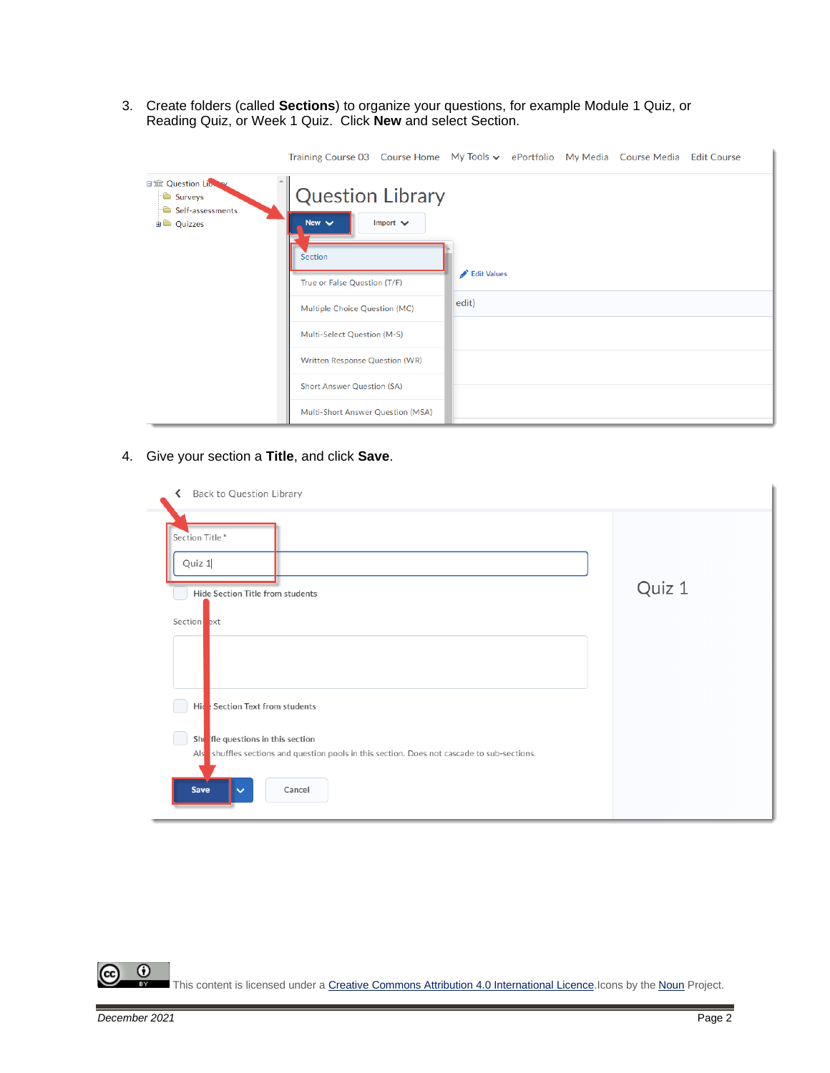3. Create folders (called **Sections**) to organize your questions, for example Module 1 Quiz, or Reading Quiz, or Week 1 Quiz. Click **New** and select Section.

|                                                                         | Training Course 03 Course Home My Tools v ePortfolio My Media Course Media Edit Course            |             |  |  |  |  |  |
|-------------------------------------------------------------------------|---------------------------------------------------------------------------------------------------|-------------|--|--|--|--|--|
| 日金 Question Library<br>Surveys<br>Self-assessments<br><b>ED</b> Quizzes | <b>Question Library</b><br>New $\vee$<br>Import $\vee$<br>Section<br>True or False Question (T/F) | Edit Values |  |  |  |  |  |
|                                                                         | Multiple Choice Question (MC)                                                                     | edit)       |  |  |  |  |  |
|                                                                         | Multi-Select Question (M-S)                                                                       |             |  |  |  |  |  |
|                                                                         | Written Response Question (WR)                                                                    |             |  |  |  |  |  |
|                                                                         | <b>Short Answer Question (SA)</b>                                                                 |             |  |  |  |  |  |
|                                                                         | Multi-Short Answer Question (MSA)                                                                 |             |  |  |  |  |  |

## 4. Give your section a **Title**, and click **Save**.

| Back to Question Library<br>∢                                                                                                                                                                          |        |
|--------------------------------------------------------------------------------------------------------------------------------------------------------------------------------------------------------|--------|
| Section Title*<br>Quiz 1<br>Hide Section Title from students<br>Section ext                                                                                                                            | Quiz 1 |
| Hide Section Text from students<br>Shi fle questions in this section<br>Alse shuffles sections and question pools in this section. Does not cascade to sub-sections.<br>Save<br>Cancel<br>$\checkmark$ |        |

 $\overline{0}$ (cc This content is licensed under [a Creative Commons Attribution 4.0 International Licence.I](https://creativecommons.org/licenses/by/4.0/)cons by the [Noun](https://creativecommons.org/website-icons/) Project.